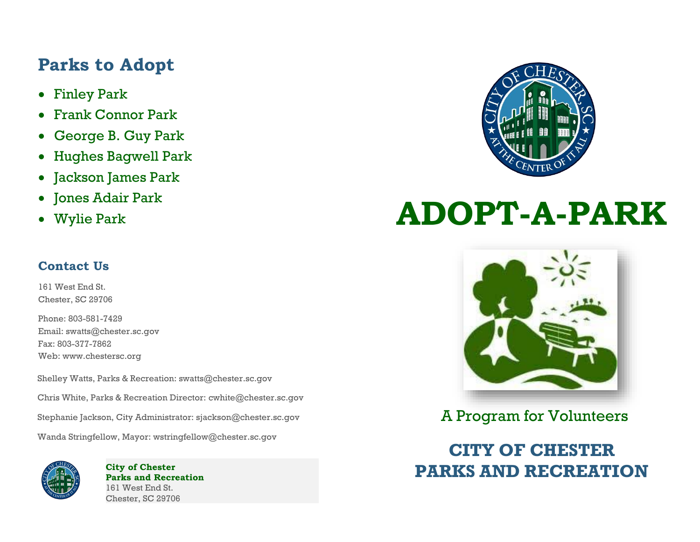#### **Parks to Adopt**

- Finley Park
- Frank Connor Park
- George B. Guy Park
- Hughes Bagwell Park
- Jackson James Park
- Jones Adair Park
- Wylie Park

# **ADOPT-A-PARK**

#### **Contact Us**

161 West End St. Chester, SC 29706

Phone: 803-581-7429 Email[: swatts@chester.sc.gov](mailto:swatts@chester.sc.gov) Fax: 803-377-7862 Web: [www.chestersc.org](http://www.chestersc.org/)

Shelley Watts, Parks & Recreation: swatts@chester.sc.gov

Chris White, Parks & Recreation Director: [cwhite@chester.sc.gov](mailto:cwhite@chester.sc.gov)

Stephanie Jackson, City Administrator: sjackson@chester.sc.gov

Wanda Stringfellow, Mayor: [wstringfellow@chester.sc.gov](mailto:wstringfellow@chester.sc.gov)



**City of Chester Parks and Recreation** 161 West End St. Chester, SC 29706



A Program for Volunteers

**CITY OF CHESTER PARKS AND RECREATION**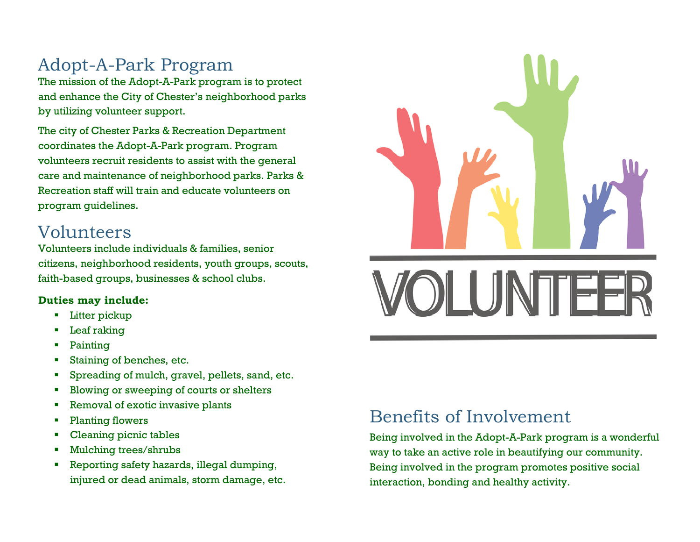## Adopt-A-Park Program

The mission of the Adopt-A-Park program is to protect and enhance the City of Chester's neighborhood parks by utilizing volunteer support.

The city of Chester Parks & Recreation Department coordinates the Adopt-A-Park program. Program volunteers recruit residents to assist with the general care and maintenance of neighborhood parks. Parks & Recreation staff will train and educate volunteers on program guidelines.

#### Volunteers

Volunteers include individuals & families, senior citizens, neighborhood residents, youth groups, scouts, faith-based groups, businesses & school clubs.

#### **Duties may include:**

- Litter pickup
- Leaf raking
- **Painting**
- Staining of benches, etc.
- Spreading of mulch, gravel, pellets, sand, etc.
- Blowing or sweeping of courts or shelters
- Removal of exotic invasive plants
- Planting flowers
- **Cleaning picnic tables**
- Mulching trees/shrubs
- Reporting safety hazards, illegal dumping, injured or dead animals, storm damage, etc.



## Benefits of Involvement

Being involved in the Adopt-A-Park program is a wonderful way to take an active role in beautifying our community. Being involved in the program promotes positive social interaction, bonding and healthy activity.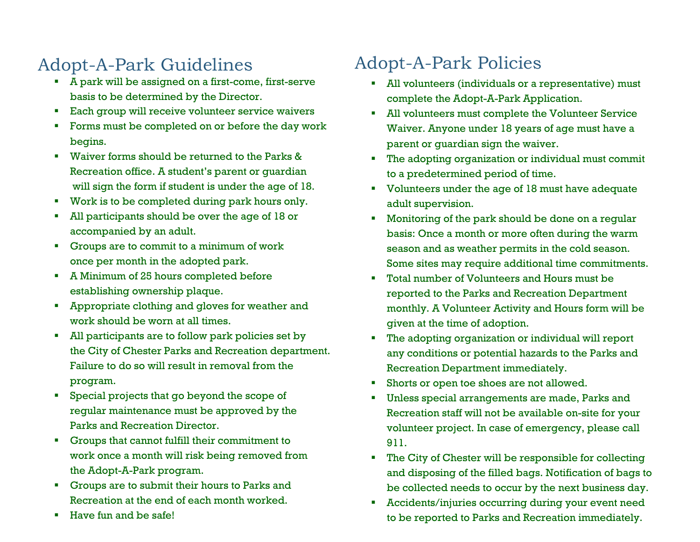# Adopt-A-Park Guidelines

- A park will be assigned on a first-come, first-serve basis to be determined by the Director.
- Each group will receive volunteer service waivers
- Forms must be completed on or before the day work begins.
- Waiver forms should be returned to the Parks & Recreation office. A student's parent or guardian will sign the form if student is under the age of 18.
- Work is to be completed during park hours only.
- All participants should be over the age of 18 or accompanied by an adult.
- Groups are to commit to a minimum of work once per month in the adopted park.
- A Minimum of 25 hours completed before establishing ownership plaque.
- Appropriate clothing and gloves for weather and work should be worn at all times.
- All participants are to follow park policies set by the City of Chester Parks and Recreation department. Failure to do so will result in removal from the program.
- **EXECT** Special projects that go beyond the scope of regular maintenance must be approved by the Parks and Recreation Director.
- Groups that cannot fulfill their commitment to work once a month will risk being removed from the Adopt-A-Park program.
- Groups are to submit their hours to Parks and Recreation at the end of each month worked.
- Have fun and be safe!

# Adopt-A-Park Policies

- All volunteers (individuals or a representative) must complete the Adopt-A-Park Application.
- All volunteers must complete the Volunteer Service Waiver. Anyone under 18 years of age must have a parent or guardian sign the waiver.
- The adopting organization or individual must commit to a predetermined period of time.
- Volunteers under the age of 18 must have adequate adult supervision.
- Monitoring of the park should be done on a regular basis: Once a month or more often during the warm season and as weather permits in the cold season. Some sites may require additional time commitments.
- Total number of Volunteers and Hours must be reported to the Parks and Recreation Department monthly. A Volunteer Activity and Hours form will be given at the time of adoption.
- The adopting organization or individual will report any conditions or potential hazards to the Parks and Recreation Department immediately.
- Shorts or open toe shoes are not allowed.
- Unless special arrangements are made, Parks and Recreation staff will not be available on-site for your volunteer project. In case of emergency, please call 911.
- The City of Chester will be responsible for collecting and disposing of the filled bags. Notification of bags to be collected needs to occur by the next business day.
- Accidents/injuries occurring during your event need to be reported to Parks and Recreation immediately.